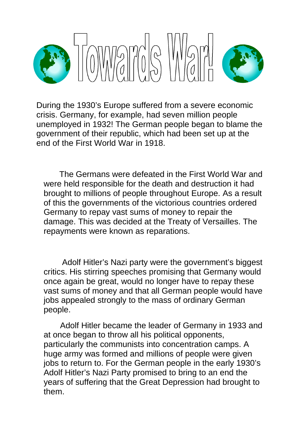

During the 1930's Europe suffered from a severe economic crisis. Germany, for example, had seven million people unemployed in 1932! The German people began to blame the government of their republic, which had been set up at the end of the First World War in 1918.

 The Germans were defeated in the First World War and were held responsible for the death and destruction it had brought to millions of people throughout Europe. As a result of this the governments of the victorious countries ordered Germany to repay vast sums of money to repair the damage. This was decided at the Treaty of Versailles. The repayments were known as reparations.

 Adolf Hitler's Nazi party were the government's biggest critics. His stirring speeches promising that Germany would once again be great, would no longer have to repay these vast sums of money and that all German people would have jobs appealed strongly to the mass of ordinary German people.

 Adolf Hitler became the leader of Germany in 1933 and at once began to throw all his political opponents, particularly the communists into concentration camps. A huge army was formed and millions of people were given jobs to return to. For the German people in the early 1930's Adolf Hitler's Nazi Party promised to bring to an end the years of suffering that the Great Depression had brought to them.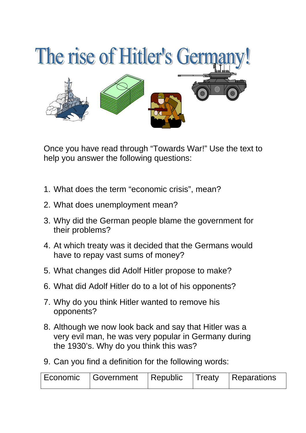

Once you have read through "Towards War!" Use the text to help you answer the following questions:

- 1. What does the term "economic crisis", mean?
- 2. What does unemployment mean?
- 3. Why did the German people blame the government for their problems?
- 4. At which treaty was it decided that the Germans would have to repay vast sums of money?
- 5. What changes did Adolf Hitler propose to make?
- 6. What did Adolf Hitler do to a lot of his opponents?
- 7. Why do you think Hitler wanted to remove his opponents?
- 8. Although we now look back and say that Hitler was a very evil man, he was very popular in Germany during the 1930's. Why do you think this was?
- 9. Can you find a definition for the following words:

| l Economic | <b>I</b> Government | $\mid$ Republic | $\vert$ Treaty | Reparations |
|------------|---------------------|-----------------|----------------|-------------|
|------------|---------------------|-----------------|----------------|-------------|